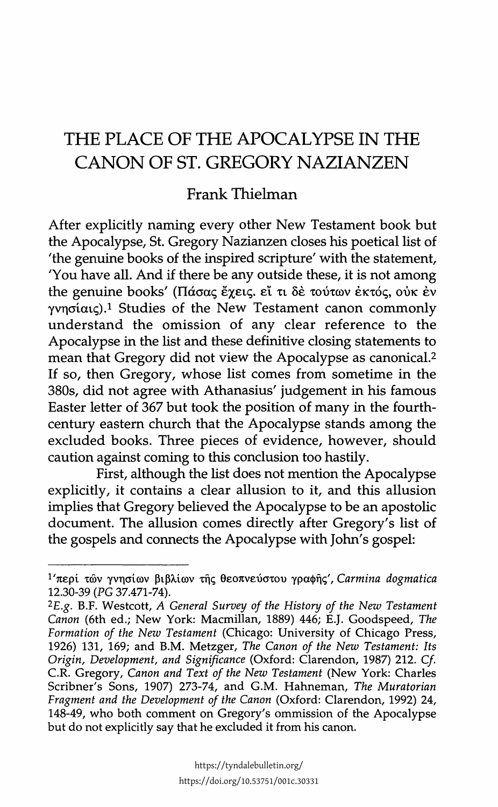## THE PLACE OF THE APOCALYPSE IN THE CANON OF ST. GREGORY NAZIANZEN

## Frank Thielman

After explicitly naming every other New Testament book but the Apocalypse, St. Gregory Nazianzen closes his poetical list of 'the genuine books of the inspired scripture' with the statement, 'You have all. And if there be any outside these, it is not among the genuine books' (Πάσας έχεις. εί τι δε τούτων έκτός, ούκ έν γνησίαις).<sup>1</sup> Studies of the New Testament canon commonly understand the omission of any clear reference to the Apocalypse in the list and these definitive closing statements to mean that Gregory did not view the Apocalypse as canonical.<sup>2</sup> If so, then Gregory, whose list comes from sometime in the 380s, did not agree with Athanasius' judgement in his famous Easter letter of 367 but took the position of many in the fourthcentury eastern church that the Apocalypse stands among the excluded books. Three pieces of evidence, however, should caution against coming to this conclusion too hastily.

First, although the list does not mention the Apocalypse explicitly, it contains a clear allusion to it, and this allusion implies that Gregory believed the Apocalypse to be an apostolic document. The allusion comes directly after Gregory's list of the gospels and connects the Apocalypse with John's gospel:

<sup>&</sup>lt;sup>1</sup>'περί των γνησίων βιβλίων της θεοπνεύστου γραφης', Carmina dogmatica 12.30-39 (PG 37.471-74).

<sup>&</sup>lt;sup>2</sup>E.g. B.F. Westcott, A General Survey of the History of the New Testament Canon (6th ed.; New York: Macmillan, 1889) 446; E.J. Goodspeed, The Formation of the New Testament (Chicago: University of Chicago Press, 1926) 131, 169; and B.M. Metzger, The Canon of the New Testament: Its Origin, Development, and Significance (Oxford: Clarendon, 1987) 212. Cf. C.R. Gregory, Canon and Text of the New Testament (New York: Charles Scribner's Sons, 1907) 273-74, and G.M. Hahneman, The Muratorian Fragment and the Development of the Canon (Oxford: Clarendon, 1992) 24, 148-49, who both comment on Gregory's ommission of the Apocalypse but do not explicitly say that he excluded it from his canon.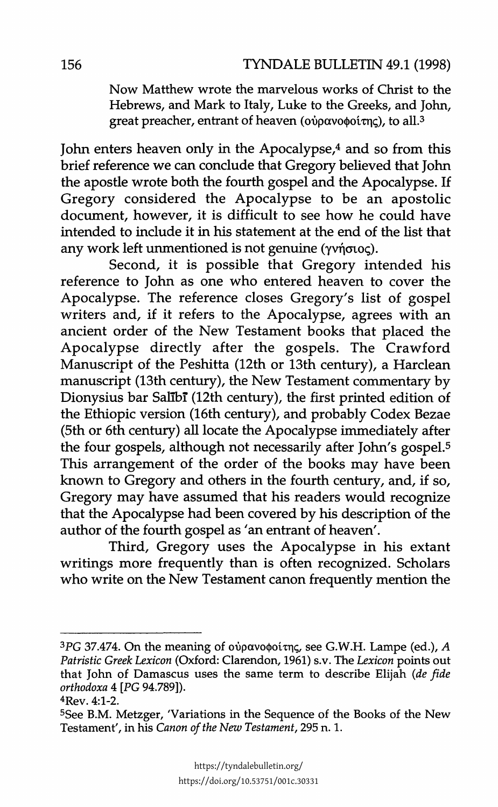Now Matthew wrote the marvelous works of Christ to the Hebrews, and Mark to Italy, Luke to the Greeks, and John, great preacher, entrant of heaven ( $o\dot{v}$ οανοφοίτης), to all.<sup>3</sup>

John enters heaven only in the Apocalypse,4 and so from this brief reference we can conclude that Gregory believed that John the apostle wrote both the fourth gospel and the Apocalypse. If Gregory considered the Apocalypse to be an apostolic document, however, it is difficult to see how he could have intended to include it in his statement at the end of the list that any work left unmentioned is not genuine  $(\gamma \gamma)$  or  $(\gamma \gamma)$ .

Second, it is possible that Gregory intended his reference to John as one who entered heaven to cover the Apocalypse. The reference closes Gregory's list of gospel writers and, if it refers to the Apocalypse, agrees with an ancient order of the New Testament books that placed the Apocalypse directly after the gospels. The Crawford Manuscript of the Peshitta (12th or 13th century), a Harclean manuscript (13th century), the New Testament commentary by Dionysius bar Salibr (12th century), the first printed edition of the Ethiopic version (16th century), and probably Codex Bezae (5th or 6th century) all locate the Apocalypse immediately after the four gospels, although not necessarily after John's gospel.<sup>5</sup> This arrangement of the order of the books may have been known to Gregory and others in the fourth century, and, if so, Gregory may have assumed that his readers would recognize that the Apocalypse had been covered by his description of the author of the fourth gospel as 'an entrant of heaven'.

Third, Gregory uses the Apocalypse in his extant writings more frequently than is often recognized. Scholars who write on the New Testament canon frequently mention the

<sup>&</sup>lt;sup>3</sup>PG 37.474. On the meaning of ούρανοφοίτης, see G.W.H. Lampe (ed.), *A Patristic Greek Lexicon* (Oxford: Clarendon, 1961) s.v. The *Lexicon* points out that John of Damascus uses the same term to describe Elijah *(de fide orthodoxa* 4 [PG 94.789]).

<sup>4</sup>Rev. 4:1-2.

<sup>5</sup>See B.M. Metzger, 'Variations in the Sequence of the Books of the New Testament', in his *Canon of the New Testament,* 295 n. 1.